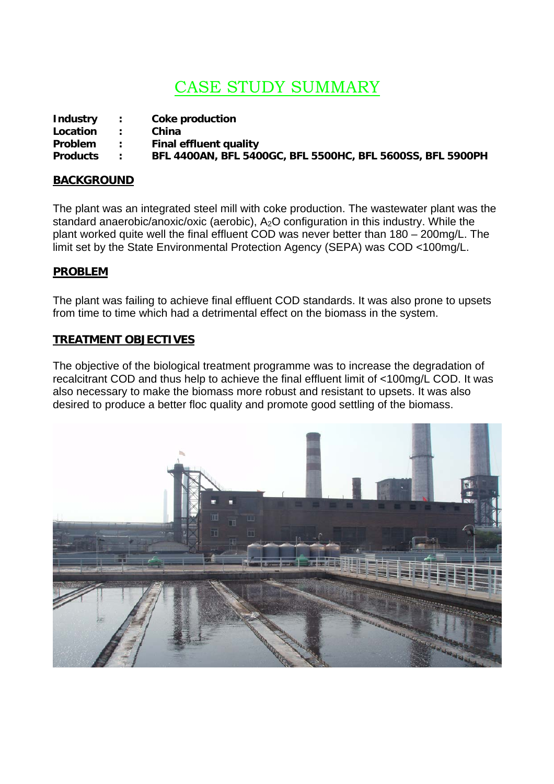# CASE STUDY SUMMARY

| <b>Industry</b> | $\mathcal{L}$ | Coke production                                            |
|-----------------|---------------|------------------------------------------------------------|
| Location        |               | China                                                      |
| <b>Problem</b>  | $\mathbb{R}$  | Final effluent quality                                     |
| <b>Products</b> |               | BFL 4400AN, BFL 5400GC, BFL 5500HC, BFL 5600SS, BFL 5900PH |

#### **BACKGROUND**

The plant was an integrated steel mill with coke production. The wastewater plant was the standard anaerobic/anoxic/oxic (aerobic), A<sub>2</sub>O configuration in this industry. While the plant worked quite well the final effluent COD was never better than 180 – 200mg/L. The limit set by the State Environmental Protection Agency (SEPA) was COD <100mg/L.

#### **PROBLEM**

The plant was failing to achieve final effluent COD standards. It was also prone to upsets from time to time which had a detrimental effect on the biomass in the system.

#### **TREATMENT OBJECTIVES**

The objective of the biological treatment programme was to increase the degradation of recalcitrant COD and thus help to achieve the final effluent limit of <100mg/L COD. It was also necessary to make the biomass more robust and resistant to upsets. It was also desired to produce a better floc quality and promote good settling of the biomass.

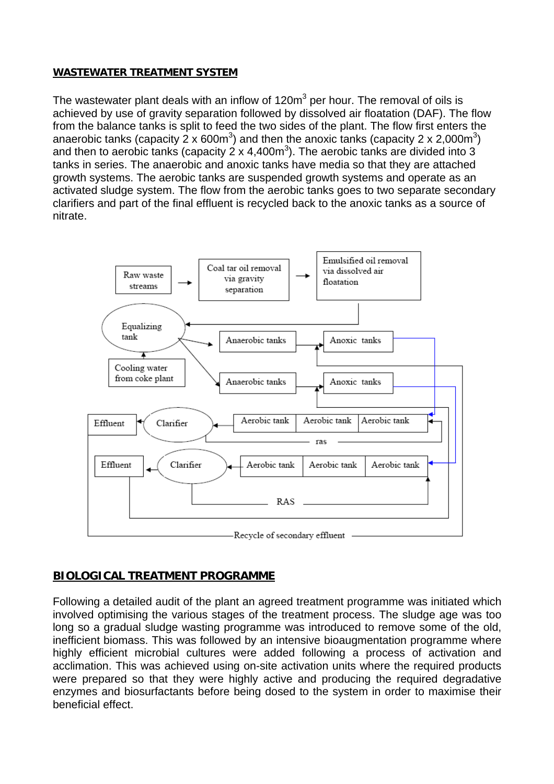### **WASTEWATER TREATMENT SYSTEM**

The wastewater plant deals with an inflow of 120m<sup>3</sup> per hour. The removal of oils is achieved by use of gravity separation followed by dissolved air floatation (DAF). The flow from the balance tanks is split to feed the two sides of the plant. The flow first enters the anaerobic tanks (capacity 2 x 600m<sup>3</sup>) and then the anoxic tanks (capacity 2 x 2,000m<sup>3</sup>) and then to aerobic tanks (capacity 2 x 4,400m<sup>3</sup>). The aerobic tanks are divided into 3 tanks in series. The anaerobic and anoxic tanks have media so that they are attached growth systems. The aerobic tanks are suspended growth systems and operate as an activated sludge system. The flow from the aerobic tanks goes to two separate secondary clarifiers and part of the final effluent is recycled back to the anoxic tanks as a source of nitrate.



## **BIOLOGICAL TREATMENT PROGRAMME**

Following a detailed audit of the plant an agreed treatment programme was initiated which involved optimising the various stages of the treatment process. The sludge age was too long so a gradual sludge wasting programme was introduced to remove some of the old, inefficient biomass. This was followed by an intensive bioaugmentation programme where highly efficient microbial cultures were added following a process of activation and acclimation. This was achieved using on-site activation units where the required products were prepared so that they were highly active and producing the required degradative enzymes and biosurfactants before being dosed to the system in order to maximise their beneficial effect.